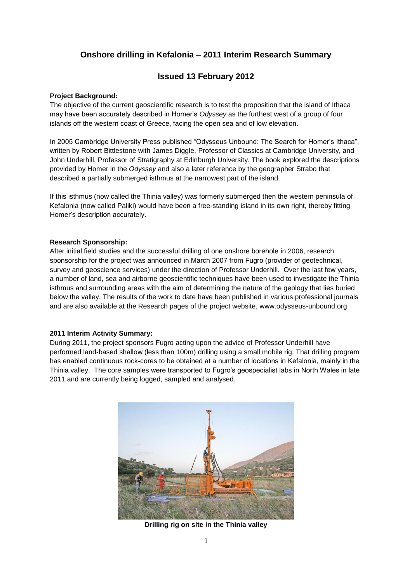# **Onshore drilling in Kefalonia – 2011 Interim Research Summary**

## **Issued 13 February 2012**

## **Project Background:**

The objective of the current geoscientific research is to test the proposition that the island of Ithaca may have been accurately described in Homer"s *Odyssey* as the furthest west of a group of four islands off the western coast of Greece, facing the open sea and of low elevation.

In 2005 Cambridge University Press published "Odysseus Unbound: The Search for Homer"s Ithaca", written by Robert Bittlestone with James Diggle, Professor of Classics at Cambridge University, and John Underhill, Professor of Stratigraphy at Edinburgh University. The book explored the descriptions provided by Homer in the *Odyssey* and also a later reference by the geographer Strabo that described a partially submerged isthmus at the narrowest part of the island.

If this isthmus (now called the Thinia valley) was formerly submerged then the western peninsula of Kefalonia (now called Paliki) would have been a free-standing island in its own right, thereby fitting Homer"s description accurately.

### **Research Sponsorship:**

After initial field studies and the successful drilling of one onshore borehole in 2006, research sponsorship for the project was announced in March 2007 from Fugro (provider of geotechnical, survey and geoscience services) under the direction of Professor Underhill. Over the last few years, a number of land, sea and airborne geoscientific techniques have been used to investigate the Thinia isthmus and surrounding areas with the aim of determining the nature of the geology that lies buried below the valley. The results of the work to date have been published in various professional journals and are also available at the Research pages of the project website, www.odysseus-unbound.org

#### **2011 Interim Activity Summary:**

During 2011, the project sponsors Fugro acting upon the advice of Professor Underhill have performed land-based shallow (less than 100m) drilling using a small mobile rig. That drilling program has enabled continuous rock-cores to be obtained at a number of locations in Kefalonia, mainly in the Thinia valley. The core samples were transported to Fugro"s geospecialist labs in North Wales in late 2011 and are currently being logged, sampled and analysed.



**Drilling rig on site in the Thinia valley**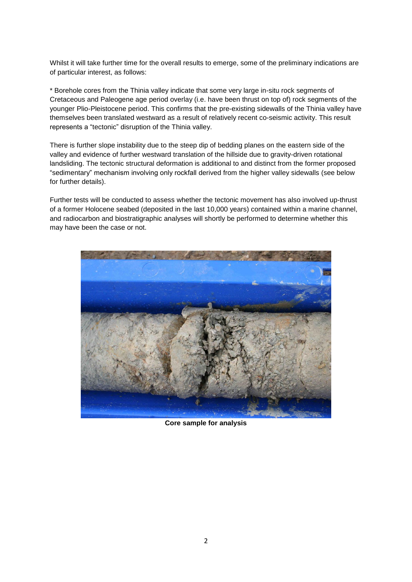Whilst it will take further time for the overall results to emerge, some of the preliminary indications are of particular interest, as follows:

\* Borehole cores from the Thinia valley indicate that some very large in-situ rock segments of Cretaceous and Paleogene age period overlay (i.e. have been thrust on top of) rock segments of the younger Plio-Pleistocene period. This confirms that the pre-existing sidewalls of the Thinia valley have themselves been translated westward as a result of relatively recent co-seismic activity. This result represents a "tectonic" disruption of the Thinia valley.

There is further slope instability due to the steep dip of bedding planes on the eastern side of the valley and evidence of further westward translation of the hillside due to gravity-driven rotational landsliding. The tectonic structural deformation is additional to and distinct from the former proposed "sedimentary" mechanism involving only rockfall derived from the higher valley sidewalls (see below for further details).

Further tests will be conducted to assess whether the tectonic movement has also involved up-thrust of a former Holocene seabed (deposited in the last 10,000 years) contained within a marine channel, and radiocarbon and biostratigraphic analyses will shortly be performed to determine whether this may have been the case or not.



**Core sample for analysis**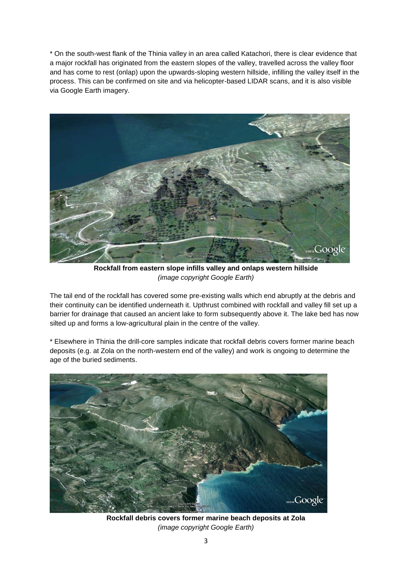\* On the south-west flank of the Thinia valley in an area called Katachori, there is clear evidence that a major rockfall has originated from the eastern slopes of the valley, travelled across the valley floor and has come to rest (onlap) upon the upwards-sloping western hillside, infilling the valley itself in the process. This can be confirmed on site and via helicopter-based LIDAR scans, and it is also visible via Google Earth imagery.



**Rockfall from eastern slope infills valley and onlaps western hillside** *(image copyright Google Earth)*

The tail end of the rockfall has covered some pre-existing walls which end abruptly at the debris and their continuity can be identified underneath it. Upthrust combined with rockfall and valley fill set up a barrier for drainage that caused an ancient lake to form subsequently above it. The lake bed has now silted up and forms a low-agricultural plain in the centre of the valley.

\* Elsewhere in Thinia the drill-core samples indicate that rockfall debris covers former marine beach deposits (e.g. at Zola on the north-western end of the valley) and work is ongoing to determine the age of the buried sediments.



**Rockfall debris covers former marine beach deposits at Zola** *(image copyright Google Earth)*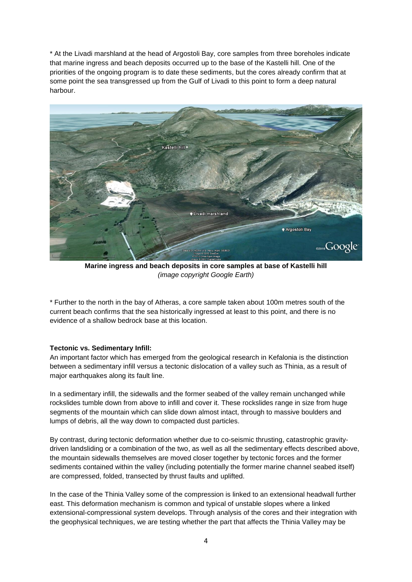\* At the Livadi marshland at the head of Argostoli Bay, core samples from three boreholes indicate that marine ingress and beach deposits occurred up to the base of the Kastelli hill. One of the priorities of the ongoing program is to date these sediments, but the cores already confirm that at some point the sea transgressed up from the Gulf of Livadi to this point to form a deep natural harbour.



**Marine ingress and beach deposits in core samples at base of Kastelli hill** *(image copyright Google Earth)*

\* Further to the north in the bay of Atheras, a core sample taken about 100m metres south of the current beach confirms that the sea historically ingressed at least to this point, and there is no evidence of a shallow bedrock base at this location.

## **Tectonic vs. Sedimentary Infill:**

An important factor which has emerged from the geological research in Kefalonia is the distinction between a sedimentary infill versus a tectonic dislocation of a valley such as Thinia, as a result of major earthquakes along its fault line.

In a sedimentary infill, the sidewalls and the former seabed of the valley remain unchanged while rockslides tumble down from above to infill and cover it. These rockslides range in size from huge segments of the mountain which can slide down almost intact, through to massive boulders and lumps of debris, all the way down to compacted dust particles.

By contrast, during tectonic deformation whether due to co-seismic thrusting, catastrophic gravitydriven landsliding or a combination of the two, as well as all the sedimentary effects described above, the mountain sidewalls themselves are moved closer together by tectonic forces and the former sediments contained within the valley (including potentially the former marine channel seabed itself) are compressed, folded, transected by thrust faults and uplifted.

In the case of the Thinia Valley some of the compression is linked to an extensional headwall further east. This deformation mechanism is common and typical of unstable slopes where a linked extensional-compressional system develops. Through analysis of the cores and their integration with the geophysical techniques, we are testing whether the part that affects the Thinia Valley may be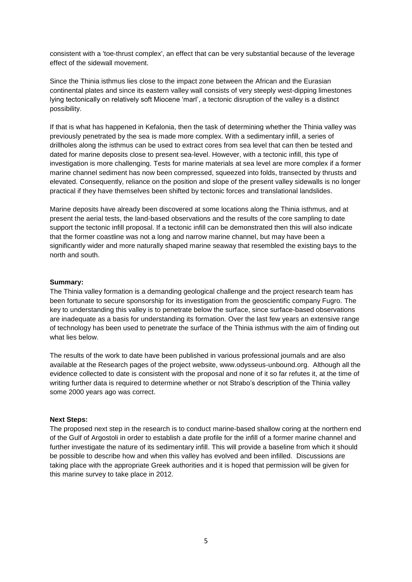consistent with a 'toe-thrust complex', an effect that can be very substantial because of the leverage effect of the sidewall movement.

Since the Thinia isthmus lies close to the impact zone between the African and the Eurasian continental plates and since its eastern valley wall consists of very steeply west-dipping limestones lying tectonically on relatively soft Miocene "marl", a tectonic disruption of the valley is a distinct possibility.

If that is what has happened in Kefalonia, then the task of determining whether the Thinia valley was previously penetrated by the sea is made more complex. With a sedimentary infill, a series of drillholes along the isthmus can be used to extract cores from sea level that can then be tested and dated for marine deposits close to present sea-level. However, with a tectonic infill, this type of investigation is more challenging. Tests for marine materials at sea level are more complex if a former marine channel sediment has now been compressed, squeezed into folds, transected by thrusts and elevated. Consequently, reliance on the position and slope of the present valley sidewalls is no longer practical if they have themselves been shifted by tectonic forces and translational landslides.

Marine deposits have already been discovered at some locations along the Thinia isthmus, and at present the aerial tests, the land-based observations and the results of the core sampling to date support the tectonic infill proposal. If a tectonic infill can be demonstrated then this will also indicate that the former coastline was not a long and narrow marine channel, but may have been a significantly wider and more naturally shaped marine seaway that resembled the existing bays to the north and south.

#### **Summary:**

The Thinia valley formation is a demanding geological challenge and the project research team has been fortunate to secure sponsorship for its investigation from the geoscientific company Fugro. The key to understanding this valley is to penetrate below the surface, since surface-based observations are inadequate as a basis for understanding its formation. Over the last few years an extensive range of technology has been used to penetrate the surface of the Thinia isthmus with the aim of finding out what lies below.

The results of the work to date have been published in various professional journals and are also available at the Research pages of the project website, www.odysseus-unbound.org. Although all the evidence collected to date is consistent with the proposal and none of it so far refutes it, at the time of writing further data is required to determine whether or not Strabo"s description of the Thinia valley some 2000 years ago was correct.

#### **Next Steps:**

The proposed next step in the research is to conduct marine-based shallow coring at the northern end of the Gulf of Argostoli in order to establish a date profile for the infill of a former marine channel and further investigate the nature of its sedimentary infill. This will provide a baseline from which it should be possible to describe how and when this valley has evolved and been infilled. Discussions are taking place with the appropriate Greek authorities and it is hoped that permission will be given for this marine survey to take place in 2012.